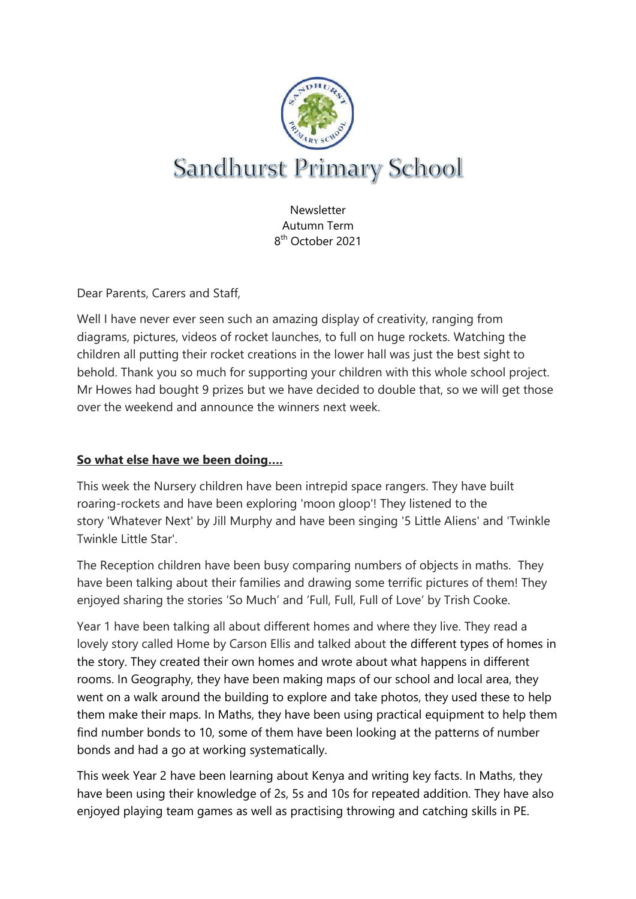

**Newsletter** Autumn Term 8 th October 2021

Dear Parents, Carers and Staff,

Well I have never ever seen such an amazing display of creativity, ranging from diagrams, pictures, videos of rocket launches, to full on huge rockets. Watching the children all putting their rocket creations in the lower hall was just the best sight to behold. Thank you so much for supporting your children with this whole school project. Mr Howes had bought 9 prizes but we have decided to double that, so we will get those over the weekend and announce the winners next week.

## **So what else have we been doing….**

This week the Nursery children have been intrepid space rangers. They have built roaring-rockets and have been exploring 'moon gloop'! They listened to the story 'Whatever Next' by Jill Murphy and have been singing '5 Little Aliens' and 'Twinkle Twinkle Little Star'.

The Reception children have been busy comparing numbers of objects in maths. They have been talking about their families and drawing some terrific pictures of them! They enjoyed sharing the stories 'So Much' and 'Full, Full, Full of Love' by Trish Cooke.

Year 1 have been talking all about different homes and where they live. They read a lovely story called Home by Carson Ellis and talked about the different types of homes in the story. They created their own homes and wrote about what happens in different rooms. In Geography, they have been making maps of our school and local area, they went on a walk around the building to explore and take photos, they used these to help them make their maps. In Maths, they have been using practical equipment to help them find number bonds to 10, some of them have been looking at the patterns of number bonds and had a go at working systematically.

This week Year 2 have been learning about Kenya and writing key facts. In Maths, they have been using their knowledge of 2s, 5s and 10s for repeated addition. They have also enjoyed playing team games as well as practising throwing and catching skills in PE.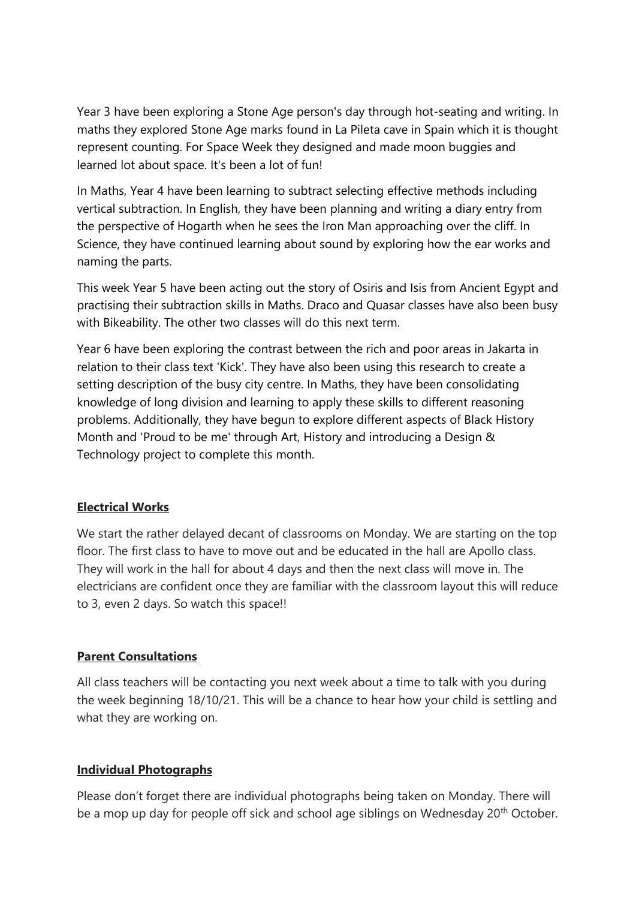Year 3 have been exploring a Stone Age person's day through hot-seating and writing. In maths they explored Stone Age marks found in La Pileta cave in Spain which it is thought represent counting. For Space Week they designed and made moon buggies and learned lot about space. It's been a lot of fun!

In Maths, Year 4 have been learning to subtract selecting effective methods including vertical subtraction. In English, they have been planning and writing a diary entry from the perspective of Hogarth when he sees the Iron Man approaching over the cliff. In Science, they have continued learning about sound by exploring how the ear works and naming the parts.

This week Year 5 have been acting out the story of Osiris and Isis from Ancient Egypt and practising their subtraction skills in Maths. Draco and Quasar classes have also been busy with Bikeability. The other two classes will do this next term.

Year 6 have been exploring the contrast between the rich and poor areas in Jakarta in relation to their class text 'Kick'. They have also been using this research to create a setting description of the busy city centre. In Maths, they have been consolidating knowledge of long division and learning to apply these skills to different reasoning problems. Additionally, they have begun to explore different aspects of Black History Month and 'Proud to be me' through Art, History and introducing a Design & Technology project to complete this month.

## **Electrical Works**

We start the rather delayed decant of classrooms on Monday. We are starting on the top floor. The first class to have to move out and be educated in the hall are Apollo class. They will work in the hall for about 4 days and then the next class will move in. The electricians are confident once they are familiar with the classroom layout this will reduce to 3, even 2 days. So watch this space!!

## **Parent Consultations**

All class teachers will be contacting you next week about a time to talk with you during the week beginning 18/10/21. This will be a chance to hear how your child is settling and what they are working on.

## **Individual Photographs**

Please don't forget there are individual photographs being taken on Monday. There will be a mop up day for people off sick and school age siblings on Wednesday 20<sup>th</sup> October.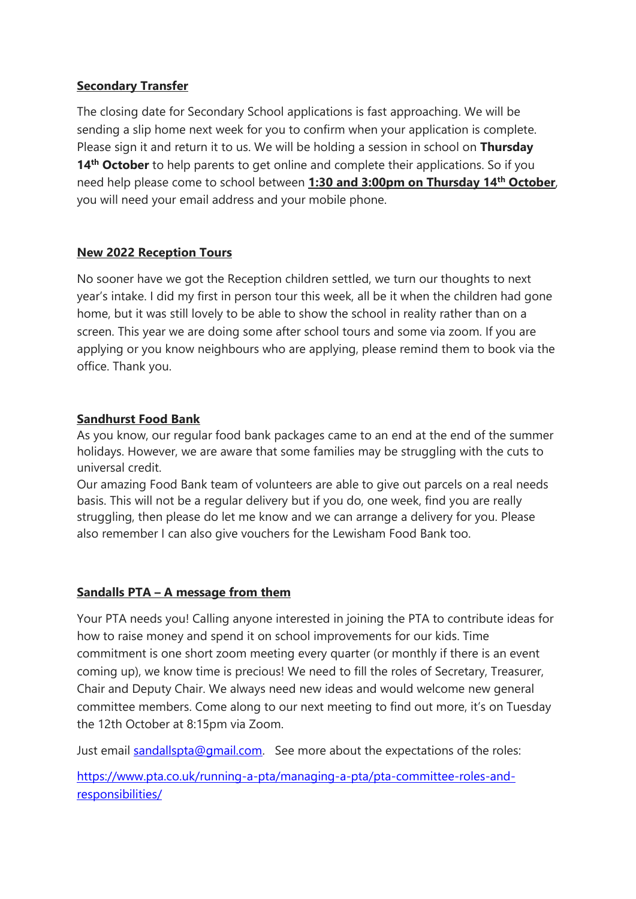## **Secondary Transfer**

The closing date for Secondary School applications is fast approaching. We will be sending a slip home next week for you to confirm when your application is complete. Please sign it and return it to us. We will be holding a session in school on **Thursday**  14<sup>th</sup> October to help parents to get online and complete their applications. So if you need help please come to school between **1:30 and 3:00pm on Thursday 14th October**, you will need your email address and your mobile phone.

# **New 2022 Reception Tours**

No sooner have we got the Reception children settled, we turn our thoughts to next year's intake. I did my first in person tour this week, all be it when the children had gone home, but it was still lovely to be able to show the school in reality rather than on a screen. This year we are doing some after school tours and some via zoom. If you are applying or you know neighbours who are applying, please remind them to book via the office. Thank you.

## **Sandhurst Food Bank**

As you know, our regular food bank packages came to an end at the end of the summer holidays. However, we are aware that some families may be struggling with the cuts to universal credit.

Our amazing Food Bank team of volunteers are able to give out parcels on a real needs basis. This will not be a regular delivery but if you do, one week, find you are really struggling, then please do let me know and we can arrange a delivery for you. Please also remember I can also give vouchers for the Lewisham Food Bank too.

## **Sandalls PTA – A message from them**

Your PTA needs you! Calling anyone interested in joining the PTA to contribute ideas for how to raise money and spend it on school improvements for our kids. Time commitment is one short zoom meeting every quarter (or monthly if there is an event coming up), we know time is precious! We need to fill the roles of Secretary, Treasurer, Chair and Deputy Chair. We always need new ideas and would welcome new general committee members. Come along to our next meeting to find out more, it's on Tuesday the 12th October at 8:15pm via Zoom.

Just email [sandallspta@gmail.com.](mailto:sandallspta@gmail.com) See more about the expectations of the roles:

[https://www.pta.co.uk/running-a-pta/managing-a-pta/pta-committee-roles-and](https://www.pta.co.uk/running-a-pta/managing-a-pta/pta-committee-roles-and-responsibilities/)[responsibilities/](https://www.pta.co.uk/running-a-pta/managing-a-pta/pta-committee-roles-and-responsibilities/)